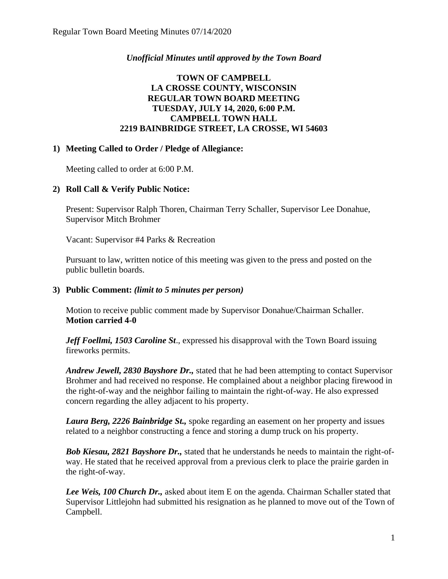## *Unofficial Minutes until approved by the Town Board*

## **TOWN OF CAMPBELL LA CROSSE COUNTY, WISCONSIN REGULAR TOWN BOARD MEETING TUESDAY, JULY 14, 2020, 6:00 P.M. CAMPBELL TOWN HALL 2219 BAINBRIDGE STREET, LA CROSSE, WI 54603**

## **1) Meeting Called to Order / Pledge of Allegiance:**

Meeting called to order at 6:00 P.M.

# **2) Roll Call & Verify Public Notice:**

Present: Supervisor Ralph Thoren, Chairman Terry Schaller, Supervisor Lee Donahue, Supervisor Mitch Brohmer

Vacant: Supervisor #4 Parks & Recreation

Pursuant to law, written notice of this meeting was given to the press and posted on the public bulletin boards.

## **3) Public Comment:** *(limit to 5 minutes per person)*

Motion to receive public comment made by Supervisor Donahue/Chairman Schaller. **Motion carried 4-0**

*Jeff Foellmi, 1503 Caroline St*., expressed his disapproval with the Town Board issuing fireworks permits.

*Andrew Jewell, 2830 Bayshore Dr.,* stated that he had been attempting to contact Supervisor Brohmer and had received no response. He complained about a neighbor placing firewood in the right-of-way and the neighbor failing to maintain the right-of-way. He also expressed concern regarding the alley adjacent to his property.

*Laura Berg, 2226 Bainbridge St.,* spoke regarding an easement on her property and issues related to a neighbor constructing a fence and storing a dump truck on his property.

*Bob Kiesau, 2821 Bayshore Dr.,* stated that he understands he needs to maintain the right-ofway. He stated that he received approval from a previous clerk to place the prairie garden in the right-of-way.

*Lee Weis, 100 Church Dr.,* asked about item E on the agenda. Chairman Schaller stated that Supervisor Littlejohn had submitted his resignation as he planned to move out of the Town of Campbell.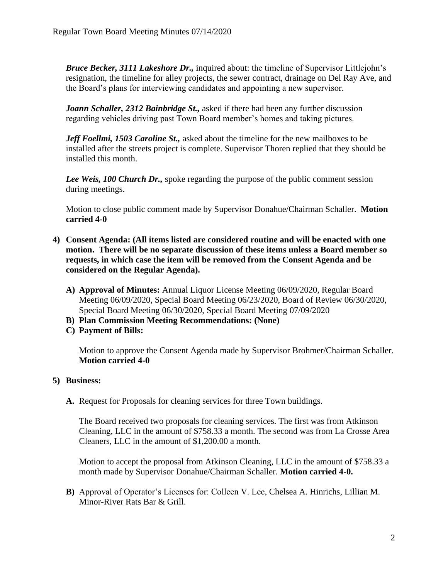*Bruce Becker, 3111 Lakeshore Dr.,* inquired about: the timeline of Supervisor Littlejohn's resignation, the timeline for alley projects, the sewer contract, drainage on Del Ray Ave, and the Board's plans for interviewing candidates and appointing a new supervisor.

*Joann Schaller, 2312 Bainbridge St.,* asked if there had been any further discussion regarding vehicles driving past Town Board member's homes and taking pictures.

*Jeff Foellmi, 1503 Caroline St.,* asked about the timeline for the new mailboxes to be installed after the streets project is complete. Supervisor Thoren replied that they should be installed this month.

*Lee Weis, 100 Church Dr.,* spoke regarding the purpose of the public comment session during meetings.

Motion to close public comment made by Supervisor Donahue/Chairman Schaller. **Motion carried 4-0**

- **4) Consent Agenda: (All items listed are considered routine and will be enacted with one motion. There will be no separate discussion of these items unless a Board member so requests, in which case the item will be removed from the Consent Agenda and be considered on the Regular Agenda).**
	- **A) Approval of Minutes:** Annual Liquor License Meeting 06/09/2020, Regular Board Meeting 06/09/2020, Special Board Meeting 06/23/2020, Board of Review 06/30/2020, Special Board Meeting 06/30/2020, Special Board Meeting 07/09/2020
	- **B) Plan Commission Meeting Recommendations: (None)**
	- **C) Payment of Bills:**

Motion to approve the Consent Agenda made by Supervisor Brohmer/Chairman Schaller. **Motion carried 4-0** 

#### **5) Business:**

**A.** Request for Proposals for cleaning services for three Town buildings.

The Board received two proposals for cleaning services. The first was from Atkinson Cleaning, LLC in the amount of \$758.33 a month. The second was from La Crosse Area Cleaners, LLC in the amount of \$1,200.00 a month.

Motion to accept the proposal from Atkinson Cleaning, LLC in the amount of \$758.33 a month made by Supervisor Donahue/Chairman Schaller. **Motion carried 4-0.** 

**B)** Approval of Operator's Licenses for: Colleen V. Lee, Chelsea A. Hinrichs, Lillian M. Minor-River Rats Bar & Grill.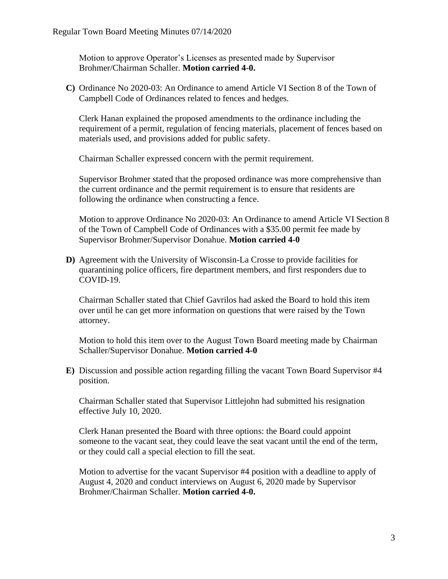Motion to approve Operator's Licenses as presented made by Supervisor Brohmer/Chairman Schaller. **Motion carried 4-0.**

**C)** Ordinance No 2020-03: An Ordinance to amend Article VI Section 8 of the Town of Campbell Code of Ordinances related to fences and hedges.

Clerk Hanan explained the proposed amendments to the ordinance including the requirement of a permit, regulation of fencing materials, placement of fences based on materials used, and provisions added for public safety.

Chairman Schaller expressed concern with the permit requirement.

Supervisor Brohmer stated that the proposed ordinance was more comprehensive than the current ordinance and the permit requirement is to ensure that residents are following the ordinance when constructing a fence.

Motion to approve Ordinance No 2020-03: An Ordinance to amend Article VI Section 8 of the Town of Campbell Code of Ordinances with a \$35.00 permit fee made by Supervisor Brohmer/Supervisor Donahue. **Motion carried 4-0**

**D)** Agreement with the University of Wisconsin-La Crosse to provide facilities for quarantining police officers, fire department members, and first responders due to COVID-19.

Chairman Schaller stated that Chief Gavrilos had asked the Board to hold this item over until he can get more information on questions that were raised by the Town attorney.

Motion to hold this item over to the August Town Board meeting made by Chairman Schaller/Supervisor Donahue. **Motion carried 4-0**

**E)** Discussion and possible action regarding filling the vacant Town Board Supervisor #4 position.

Chairman Schaller stated that Supervisor Littlejohn had submitted his resignation effective July 10, 2020.

Clerk Hanan presented the Board with three options: the Board could appoint someone to the vacant seat, they could leave the seat vacant until the end of the term, or they could call a special election to fill the seat.

Motion to advertise for the vacant Supervisor #4 position with a deadline to apply of August 4, 2020 and conduct interviews on August 6, 2020 made by Supervisor Brohmer/Chairman Schaller. **Motion carried 4-0.**